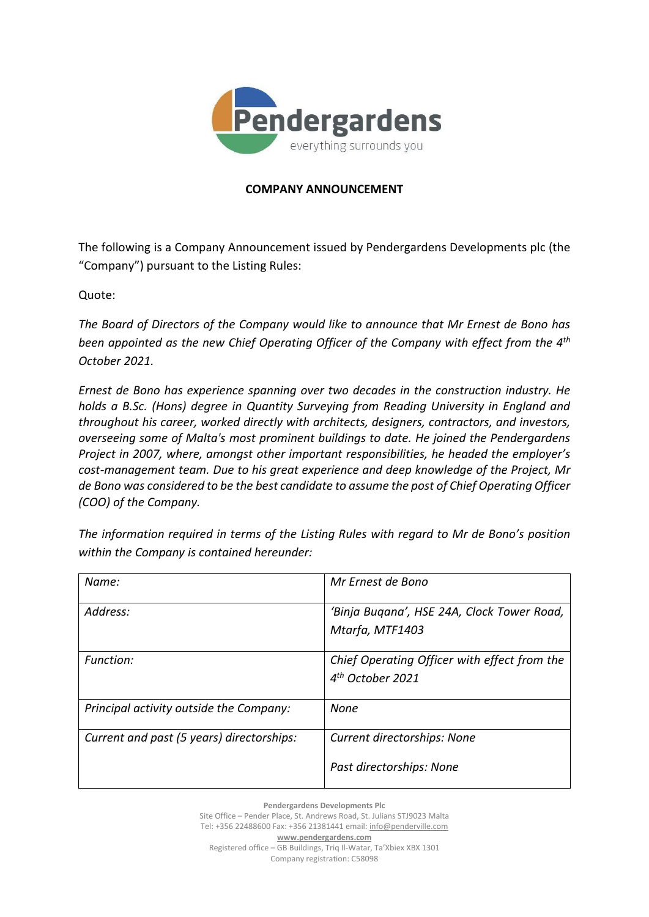

## **COMPANY ANNOUNCEMENT**

The following is a Company Announcement issued by Pendergardens Developments plc (the "Company") pursuant to the Listing Rules:

Quote:

*The Board of Directors of the Company would like to announce that Mr Ernest de Bono has been appointed as the new Chief Operating Officer of the Company with effect from the 4th October 2021.*

*Ernest de Bono has experience spanning over two decades in the construction industry. He holds a B.Sc. (Hons) degree in Quantity Surveying from Reading University in England and throughout his career, worked directly with architects, designers, contractors, and investors, overseeing some of Malta's most prominent buildings to date. He joined the Pendergardens Project in 2007, where, amongst other important responsibilities, he headed the employer's cost-management team. Due to his great experience and deep knowledge of the Project, Mr de Bono was considered to be the best candidate to assume the post of Chief Operating Officer (COO) of the Company.*

*The information required in terms of the Listing Rules with regard to Mr de Bono's position within the Company is contained hereunder:*

| Name:                                     | Mr Ernest de Bono                                                            |
|-------------------------------------------|------------------------------------------------------------------------------|
| Address:                                  | 'Binja Buqana', HSE 24A, Clock Tower Road,<br>Mtarfa, MTF1403                |
| <b>Function:</b>                          | Chief Operating Officer with effect from the<br>4 <sup>th</sup> October 2021 |
| Principal activity outside the Company:   | <b>None</b>                                                                  |
| Current and past (5 years) directorships: | <b>Current directorships: None</b><br>Past directorships: None               |

**Pendergardens Developments Plc** Site Office – Pender Place, St. Andrews Road, St. Julians STJ9023 Malta Tel: +356 22488600 Fax: +356 21381441 email[: info@penderville.com](mailto:info@penderville.com) **[www.pendergardens.com](http://www.pendergardens.com/)** Registered office – GB Buildings, Triq Il-Watar, Ta'Xbiex XBX 1301 Company registration: C58098